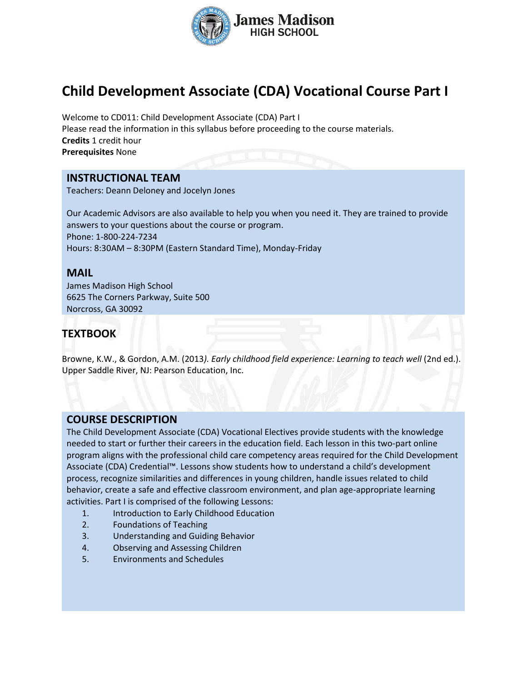

# **Child Development Associate (CDA) Vocational Course Part I**

Welcome to CD011: Child Development Associate (CDA) Part I Please read the information in this syllabus before proceeding to the course materials. **Credits** 1 credit hour **Prerequisites** None

### **INSTRUCTIONAL TEAM**

Teachers: Deann Deloney and Jocelyn Jones

Our Academic Advisors are also available to help you when you need it. They are trained to provide answers to your questions about the course or program. Phone: 1-800-224-7234 Hours: 8:30AM – 8:30PM (Eastern Standard Time), Monday-Friday

## **MAIL**

James Madison High School 6625 The Corners Parkway, Suite 500 Norcross, GA 30092

# **TEXTBOOK**

Browne, K.W., & Gordon, A.M. (2013). Early childhood field experience: Learning to teach well (2nd ed.). Upper Saddle River, NJ: Pearson Education, Inc.

#### **COURSE DESCRIPTION**

The Child Development Associate (CDA) Vocational Electives provide students with the knowledge needed to start or further their careers in the education field. Each lesson in this two-part online program aligns with the professional child care competency areas required for the Child Development Associate (CDA) Credential™. Lessons show students how to understand a child's development process, recognize similarities and differences in young children, handle issues related to child behavior, create a safe and effective classroom environment, and plan age-appropriate learning activities. Part I is comprised of the following Lessons:

- 1. Introduction to Early Childhood Education
- 2. Foundations of Teaching
- 3. Understanding and Guiding Behavior
- 4. Observing and Assessing Children
- 5. Environments and Schedules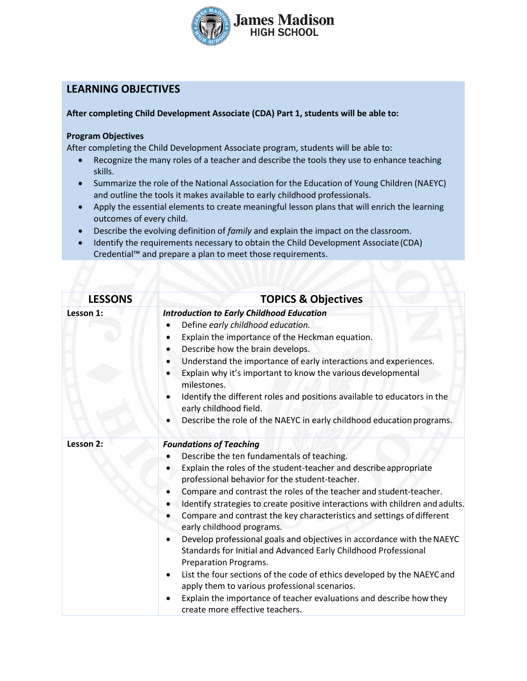

# **LEARNING OBJECTIVES**

#### **After completing Child Development Associate (CDA) Part 1, students will be able to:**

#### **Program Objectives**

After completing the Child Development Associate program, students will be able to:

- Recognize the many roles of a teacher and describe the tools they use to enhance teaching skills.
- Summarize the role of the National Association for the Education of Young Children (NAEYC) and outline the tools it makes available to early childhood professionals.
- Apply the essential elements to create meaningful lesson plans that will enrich the learning outcomes of every child.
- Describe the evolving definition of *family* and explain the impact on the classroom.
- Identify the requirements necessary to obtain the Child Development Associate(CDA) Credential™ and prepare a plan to meet those requirements.

| <b>LESSONS</b><br><b>TOPICS &amp; Objectives</b> |                                                                                                                                                                                                                                                                                                                                                                                                                                                                                                                                                                                                                                                                                                                                                                                                                                                                                                 |
|--------------------------------------------------|-------------------------------------------------------------------------------------------------------------------------------------------------------------------------------------------------------------------------------------------------------------------------------------------------------------------------------------------------------------------------------------------------------------------------------------------------------------------------------------------------------------------------------------------------------------------------------------------------------------------------------------------------------------------------------------------------------------------------------------------------------------------------------------------------------------------------------------------------------------------------------------------------|
| Lesson 1:                                        | <b>Introduction to Early Childhood Education</b><br>Define early childhood education.<br>Explain the importance of the Heckman equation.<br>Describe how the brain develops.<br>$\bullet$<br>Understand the importance of early interactions and experiences.<br>$\bullet$<br>Explain why it's important to know the various developmental<br>milestones.<br>Identify the different roles and positions available to educators in the<br>early childhood field.<br>Describe the role of the NAEYC in early childhood education programs.                                                                                                                                                                                                                                                                                                                                                        |
| Lesson 2:                                        | <b>Foundations of Teaching</b><br>Describe the ten fundamentals of teaching.<br>Explain the roles of the student-teacher and describe appropriate<br>professional behavior for the student-teacher.<br>Compare and contrast the roles of the teacher and student-teacher.<br>Identify strategies to create positive interactions with children and adults.<br>Compare and contrast the key characteristics and settings of different<br>early childhood programs.<br>Develop professional goals and objectives in accordance with the NAEYC<br>$\bullet$<br>Standards for Initial and Advanced Early Childhood Professional<br>Preparation Programs.<br>List the four sections of the code of ethics developed by the NAEYC and<br>٠<br>apply them to various professional scenarios.<br>Explain the importance of teacher evaluations and describe how they<br>create more effective teachers. |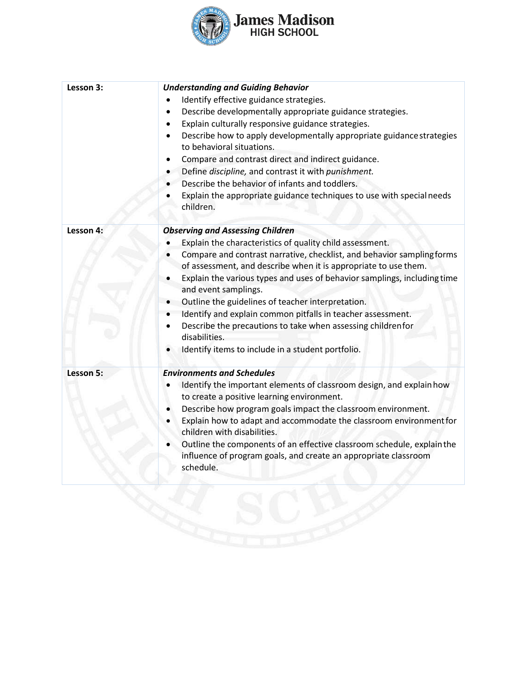

| Lesson 3: | <b>Understanding and Guiding Behavior</b><br>Identify effective guidance strategies.<br>Describe developmentally appropriate guidance strategies.<br>Explain culturally responsive guidance strategies.<br>٠<br>Describe how to apply developmentally appropriate guidance strategies<br>to behavioral situations.<br>Compare and contrast direct and indirect guidance.<br>Define discipline, and contrast it with punishment.<br>Describe the behavior of infants and toddlers.<br>Explain the appropriate guidance techniques to use with special needs<br>children.                                       |
|-----------|---------------------------------------------------------------------------------------------------------------------------------------------------------------------------------------------------------------------------------------------------------------------------------------------------------------------------------------------------------------------------------------------------------------------------------------------------------------------------------------------------------------------------------------------------------------------------------------------------------------|
| Lesson 4: | <b>Observing and Assessing Children</b><br>Explain the characteristics of quality child assessment.<br>Compare and contrast narrative, checklist, and behavior sampling forms<br>of assessment, and describe when it is appropriate to use them.<br>Explain the various types and uses of behavior samplings, including time<br>and event samplings.<br>Outline the guidelines of teacher interpretation.<br>Identify and explain common pitfalls in teacher assessment.<br>Describe the precautions to take when assessing childrenfor<br>disabilities.<br>Identify items to include in a student portfolio. |
| Lesson 5: | <b>Environments and Schedules</b><br>Identify the important elements of classroom design, and explain how<br>to create a positive learning environment.<br>Describe how program goals impact the classroom environment.<br>Explain how to adapt and accommodate the classroom environment for<br>children with disabilities.<br>Outline the components of an effective classroom schedule, explain the<br>influence of program goals, and create an appropriate classroom<br>schedule.                                                                                                                        |
|           |                                                                                                                                                                                                                                                                                                                                                                                                                                                                                                                                                                                                               |